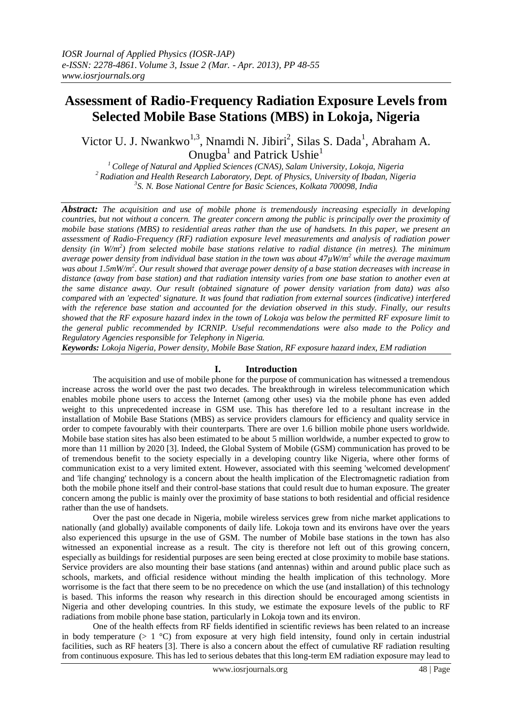# **Assessment of Radio-Frequency Radiation Exposure Levels from Selected Mobile Base Stations (MBS) in Lokoja, Nigeria**

Victor U. J. Nwankwo<sup>1,3</sup>, Nnamdi N. Jibiri<sup>2</sup>, Silas S. Dada<sup>1</sup>, Abraham A. Onugba<sup>1</sup> and Patrick Ushie<sup>1</sup>

*<sup>1</sup>College of Natural and Applied Sciences (CNAS), Salam University, Lokoja, Nigeria <sup>2</sup>Radiation and Health Research Laboratory, Dept. of Physics, University of Ibadan, Nigeria 3 S. N. Bose National Centre for Basic Sciences, Kolkata 700098, India*

*Abstract: The acquisition and use of mobile phone is tremendously increasing especially in developing countries, but not without a concern. The greater concern among the public is principally over the proximity of mobile base stations (MBS) to residential areas rather than the use of handsets. In this paper, we present an assessment of Radio-Frequency (RF) radiation exposure level measurements and analysis of radiation power density (in W/m<sup>2</sup> ) from selected mobile base stations relative to radial distance (in metres). The minimum average power density from individual base station in the town was about 47µW/m<sup>2</sup> while the average maximum was about 1.5mW/m<sup>2</sup> . Our result showed that average power density of a base station decreases with increase in distance (away from base station) and that radiation intensity varies from one base station to another even at the same distance away. Our result (obtained signature of power density variation from data) was also compared with an 'expected' signature. It was found that radiation from external sources (indicative) interfered with the reference base station and accounted for the deviation observed in this study. Finally, our results showed that the RF exposure hazard index in the town of Lokoja was below the permitted RF exposure limit to the general public recommended by ICRNIP. Useful recommendations were also made to the Policy and Regulatory Agencies responsible for Telephony in Nigeria.*

*Keywords: Lokoja Nigeria, Power density, Mobile Base Station, RF exposure hazard index, EM radiation*

# **I. Introduction**

The acquisition and use of mobile phone for the purpose of communication has witnessed a tremendous increase across the world over the past two decades. The breakthrough in wireless telecommunication which enables mobile phone users to access the Internet (among other uses) via the mobile phone has even added weight to this unprecedented increase in GSM use. This has therefore led to a resultant increase in the installation of Mobile Base Stations (MBS) as service providers clamours for efficiency and quality service in order to compete favourably with their counterparts. There are over 1.6 billion mobile phone users worldwide. Mobile base station sites has also been estimated to be about 5 million worldwide, a number expected to grow to more than 11 million by 2020 [3]. Indeed, the Global System of Mobile (GSM) communication has proved to be of tremendous benefit to the society especially in a developing country like Nigeria, where other forms of communication exist to a very limited extent. However, associated with this seeming 'welcomed development' and 'life changing' technology is a concern about the health implication of the Electromagnetic radiation from both the mobile phone itself and their control-base stations that could result due to human exposure. The greater concern among the public is mainly over the proximity of base stations to both residential and official residence rather than the use of handsets.

Over the past one decade in Nigeria, mobile wireless services grew from niche market applications to nationally (and globally) available components of daily life. Lokoja town and its environs have over the years also experienced this upsurge in the use of GSM. The number of Mobile base stations in the town has also witnessed an exponential increase as a result. The city is therefore not left out of this growing concern, especially as buildings for residential purposes are seen being erected at close proximity to mobile base stations. Service providers are also mounting their base stations (and antennas) within and around public place such as schools, markets, and official residence without minding the health implication of this technology. More worrisome is the fact that there seem to be no precedence on which the use (and installation) of this technology is based. This informs the reason why research in this direction should be encouraged among scientists in Nigeria and other developing countries. In this study, we estimate the exposure levels of the public to RF radiations from mobile phone base station, particularly in Lokoja town and its environ.

One of the health effects from RF fields identified in scientific reviews has been related to an increase in body temperature ( $> 1 \degree C$ ) from exposure at very high field intensity, found only in certain industrial facilities, such as RF heaters [3]. There is also a concern about the effect of cumulative RF radiation resulting from continuous exposure. This has led to serious debates that this long-term EM radiation exposure may lead to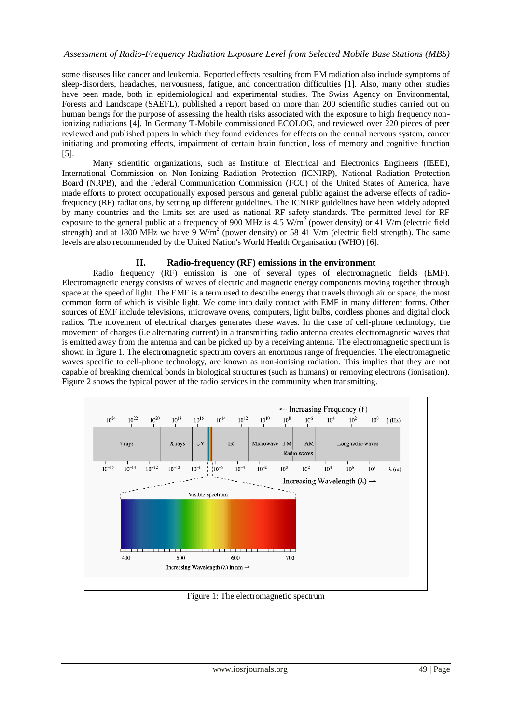some diseases like cancer and leukemia. Reported effects resulting from EM radiation also include symptoms of sleep-disorders, headaches, nervousness, fatigue, and concentration difficulties [1]. Also, many other studies have been made, both in epidemiological and experimental studies. The Swiss Agency on Environmental, Forests and Landscape (SAEFL), published a report based on more than 200 scientific studies carried out on human beings for the purpose of assessing the health risks associated with the exposure to high frequency nonionizing radiations [4]. In Germany T-Mobile commissioned ECOLOG, and reviewed over 220 pieces of peer reviewed and published papers in which they found evidences for effects on the central nervous system, cancer initiating and promoting effects, impairment of certain brain function, loss of memory and cognitive function [5].

Many scientific organizations, such as Institute of Electrical and Electronics Engineers (IEEE), International Commission on Non-Ionizing Radiation Protection (ICNIRP), National Radiation Protection Board (NRPB), and the Federal Communication Commission (FCC) of the United States of America, have made efforts to protect occupationally exposed persons and general public against the adverse effects of radiofrequency (RF) radiations, by setting up different guidelines. The ICNIRP guidelines have been widely adopted by many countries and the limits set are used as national RF safety standards. The permitted level for RF exposure to the general public at a frequency of 900 MHz is 4.5 W/m<sup>2</sup> (power density) or 41 V/m (electric field strength) and at 1800 MHz we have  $9 \text{ W/m}^2$  (power density) or 58 41 V/m (electric field strength). The same levels are also recommended by the United Nation's World Health Organisation (WHO) [6].

# **II. Radio-frequency (RF) emissions in the environment**

Radio frequency (RF) emission is one of several types of electromagnetic fields (EMF). Electromagnetic energy consists of waves of electric and magnetic energy components moving together through space at the speed of light. The EMF is a term used to describe energy that travels through air or space, the most common form of which is visible light. We come into daily contact with EMF in many different forms. Other sources of EMF include televisions, microwave ovens, computers, light bulbs, cordless phones and digital clock radios. The movement of electrical charges generates these waves. In the case of cell-phone technology, the movement of charges (i.e alternating current) in a transmitting radio antenna creates electromagnetic waves that is emitted away from the antenna and can be picked up by a receiving antenna. The electromagnetic spectrum is shown in figure 1. The electromagnetic spectrum covers an enormous range of frequencies. The electromagnetic waves specific to cell-phone technology, are known as non-ionising radiation. This implies that they are not capable of breaking chemical bonds in biological structures (such as humans) or removing electrons (ionisation). Figure 2 shows the typical power of the radio services in the community when transmitting.



Figure 1: The electromagnetic spectrum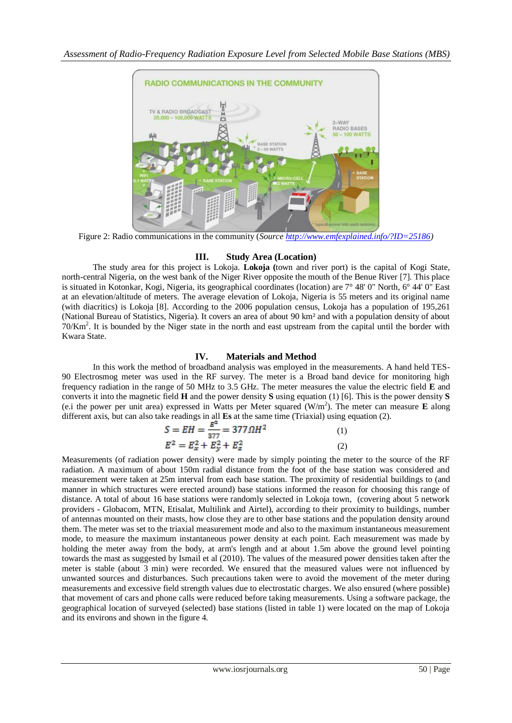

Figure 2: Radio communications in the community (*Source [http://www.emfexplained.info/?ID=25186\)](http://www.emfexplained.info/?ID=25186)*

# **III. Study Area (Location)**

The study area for this project is Lokoja. **Lokoja (**town and river port) is the capital of Kogi State, north-central Nigeria, on the west bank of the Niger River opposite the mouth of the Benue River [7]. This place is situated in Kotonkar, Kogi, Nigeria, its geographical coordinates (location) are 7° 48' 0" North, 6° 44' 0" East at an elevation/altitude of meters. The average elevation of Lokoja, Nigeria is 55 meters and its original name (with diacritics) is Lokoja [8]. According to the 2006 population census, Lokoja has a population of 195,261 (National Bureau of Statistics, Nigeria). It covers an area of about 90 km² and with a population density of about 70/Km<sup>2</sup>. It is bounded by the Niger state in the north and east upstream from the capital until the border with Kwara State.

# **IV. Materials and Method**

In this work the method of broadband analysis was employed in the measurements. A hand held TES-90 Electrosmog meter was used in the RF survey. The meter is a Broad band device for monitoring high frequency radiation in the range of 50 MHz to 3.5 GHz. The meter measures the value the electric field **E** and converts it into the magnetic field **H** and the power density **S** using equation (1) [6]. This is the power density **S** (e.i the power per unit area) expressed in Watts per Meter squared (W/m<sup>2</sup> ). The meter can measure **E** along different axis, but can also take readings in all **Es** at the same time (Triaxial) using equation (2).

$$
S = EH = \frac{E^2}{377} = 377 \Omega H^2
$$
(1)  

$$
E^2 = E_x^2 + E_y^2 + E_z^2
$$
(2)

Measurements (of radiation power density) were made by simply pointing the meter to the source of the RF radiation. A maximum of about 150m radial distance from the foot of the base station was considered and measurement were taken at 25m interval from each base station. The proximity of residential buildings to (and manner in which structures were erected around) base stations informed the reason for choosing this range of distance. A total of about 16 base stations were randomly selected in Lokoja town, (covering about 5 network providers - Globacom, MTN, Etisalat, Multilink and Airtel), according to their proximity to buildings, number of antennas mounted on their masts, how close they are to other base stations and the population density around them. The meter was set to the triaxial measurement mode and also to the maximum instantaneous measurement mode, to measure the maximum instantaneous power density at each point. Each measurement was made by holding the meter away from the body, at arm's length and at about 1.5m above the ground level pointing towards the mast as suggested by Ismail et al (2010). The values of the measured power densities taken after the meter is stable (about 3 min) were recorded. We ensured that the measured values were not influenced by unwanted sources and disturbances. Such precautions taken were to avoid the movement of the meter during measurements and excessive field strength values due to electrostatic charges. We also ensured (where possible) that movement of cars and phone calls were reduced before taking measurements. Using a software package, the geographical location of surveyed (selected) base stations (listed in table 1) were located on the map of Lokoja and its environs and shown in the figure 4.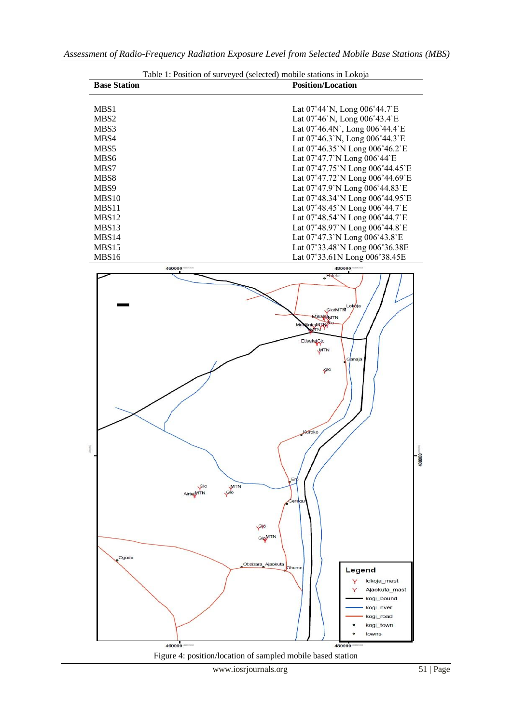

www.iosrjournals.org 51 | Page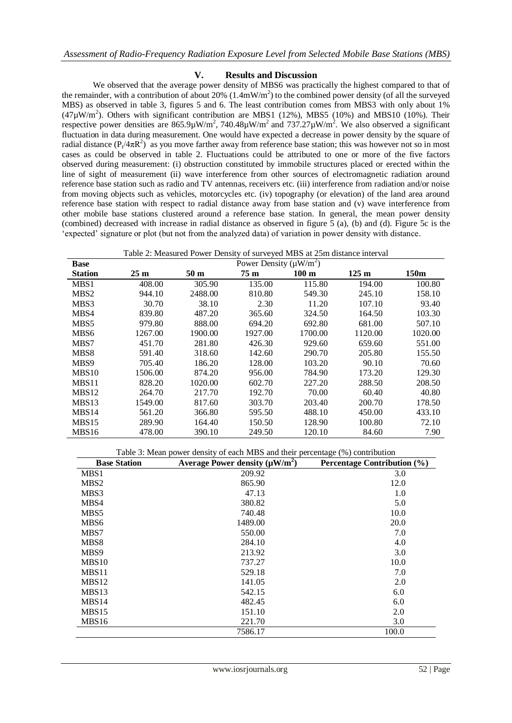#### **V. Results and Discussion**

We observed that the average power density of MBS6 was practically the highest compared to that of the remainder, with a contribution of about 20%  $(1.4 \text{mW/m}^2)$  to the combined power density (of all the surveyed MBS) as observed in table 3, figures 5 and 6. The least contribution comes from MBS3 with only about 1%  $(47\mu W/m^2)$ . Others with significant contribution are MBS1 (12%), MBS5 (10%) and MBS10 (10%). Their respective power densities are  $865.9 \mu W/m^2$ ,  $740.48 \mu W/m^2$  and  $737.27 \mu W/m^2$ . We also observed a significant fluctuation in data during measurement. One would have expected a decrease in power density by the square of radial distance  $(P_t/4\pi R^2)$  as you move farther away from reference base station; this was however not so in most cases as could be observed in table 2. Fluctuations could be attributed to one or more of the five factors observed during measurement: (i) obstruction constituted by immobile structures placed or erected within the line of sight of measurement (ii) wave interference from other sources of electromagnetic radiation around reference base station such as radio and TV antennas, receivers etc. (iii) interference from radiation and/or noise from moving objects such as vehicles, motorcycles etc. (iv) topography (or elevation) of the land area around reference base station with respect to radial distance away from base station and (v) wave interference from other mobile base stations clustered around a reference base station. In general, the mean power density (combined) decreased with increase in radial distance as observed in figure 5 (a), (b) and (d). Figure 5c is the 'expected' signature or plot (but not from the analyzed data) of variation in power density with distance.

|  |  | Table 2: Measured Power Density of surveyed MBS at 25m distance interval |
|--|--|--------------------------------------------------------------------------|
|  |  |                                                                          |

| <b>Base</b>       |                 | Power Density ( $\mu$ W/m <sup>2</sup> ) |                 |                  |                 |                  |
|-------------------|-----------------|------------------------------------------|-----------------|------------------|-----------------|------------------|
| <b>Station</b>    | 25 <sub>m</sub> | 50 <sub>m</sub>                          | 75 <sub>m</sub> | 100 <sub>m</sub> | $125 \text{ m}$ | 150 <sub>m</sub> |
| MBS1              | 408.00          | 305.90                                   | 135.00          | 115.80           | 194.00          | 100.80           |
| MBS <sub>2</sub>  | 944.10          | 2488.00                                  | 810.80          | 549.30           | 245.10          | 158.10           |
| MBS3              | 30.70           | 38.10                                    | 2.30            | 11.20            | 107.10          | 93.40            |
| MBS4              | 839.80          | 487.20                                   | 365.60          | 324.50           | 164.50          | 103.30           |
| MBS <sub>5</sub>  | 979.80          | 888.00                                   | 694.20          | 692.80           | 681.00          | 507.10           |
| MBS6              | 1267.00         | 1900.00                                  | 1927.00         | 1700.00          | 1120.00         | 1020.00          |
| MBS7              | 451.70          | 281.80                                   | 426.30          | 929.60           | 659.60          | 551.00           |
| MBS8              | 591.40          | 318.60                                   | 142.60          | 290.70           | 205.80          | 155.50           |
| MBS9              | 705.40          | 186.20                                   | 128.00          | 103.20           | 90.10           | 70.60            |
| MBS <sub>10</sub> | 1506.00         | 874.20                                   | 956.00          | 784.90           | 173.20          | 129.30           |
| MBS11             | 828.20          | 1020.00                                  | 602.70          | 227.20           | 288.50          | 208.50           |
| MBS <sub>12</sub> | 264.70          | 217.70                                   | 192.70          | 70.00            | 60.40           | 40.80            |
| MBS <sub>13</sub> | 1549.00         | 817.60                                   | 303.70          | 203.40           | 200.70          | 178.50           |
| MBS <sub>14</sub> | 561.20          | 366.80                                   | 595.50          | 488.10           | 450.00          | 433.10           |
| MBS15             | 289.90          | 164.40                                   | 150.50          | 128.90           | 100.80          | 72.10            |
| MBS16             | 478.00          | 390.10                                   | 249.50          | 120.10           | 84.60           | 7.90             |

Table 3: Mean power density of each MBS and their percentage (%) contribution

| <b>Base Station</b> | Average Power density $(\mu W/m^2)$ | Percentage Contribution (%) |
|---------------------|-------------------------------------|-----------------------------|
| MBS1                | 209.92                              | 3.0                         |
| MBS <sub>2</sub>    | 865.90                              | 12.0                        |
| MBS3                | 47.13                               | 1.0                         |
| MBS4                | 380.82                              | 5.0                         |
| MBS5                | 740.48                              | 10.0                        |
| MBS6                | 1489.00                             | 20.0                        |
| MBS7                | 550.00                              | 7.0                         |
| MBS8                | 284.10                              | 4.0                         |
| MBS9                | 213.92                              | 3.0                         |
| MBS10               | 737.27                              | 10.0                        |
| MBS11               | 529.18                              | 7.0                         |
| MBS <sub>12</sub>   | 141.05                              | 2.0                         |
| MBS <sub>13</sub>   | 542.15                              | 6.0                         |
| MBS14               | 482.45                              | 6.0                         |
| MBS15               | 151.10                              | 2.0                         |
| MBS16               | 221.70                              | 3.0                         |
|                     | 7586.17                             | 100.0                       |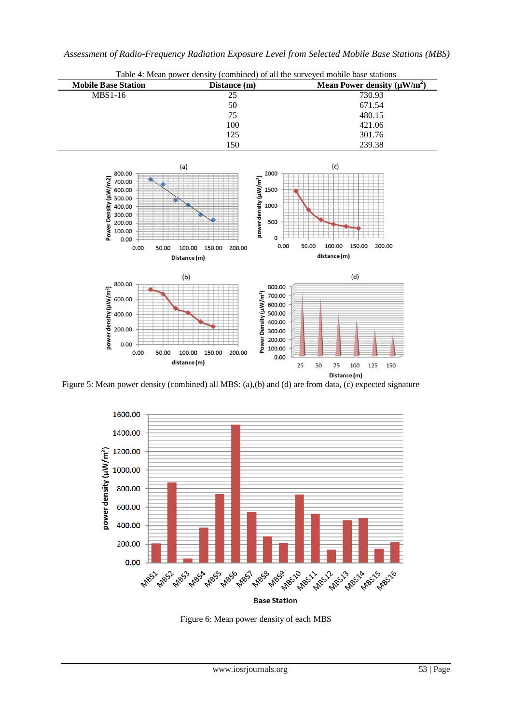

Figure 5: Mean power density (combined) all MBS: (a),(b) and (d) are from data, (c) expected signature



Figure 6: Mean power density of each MBS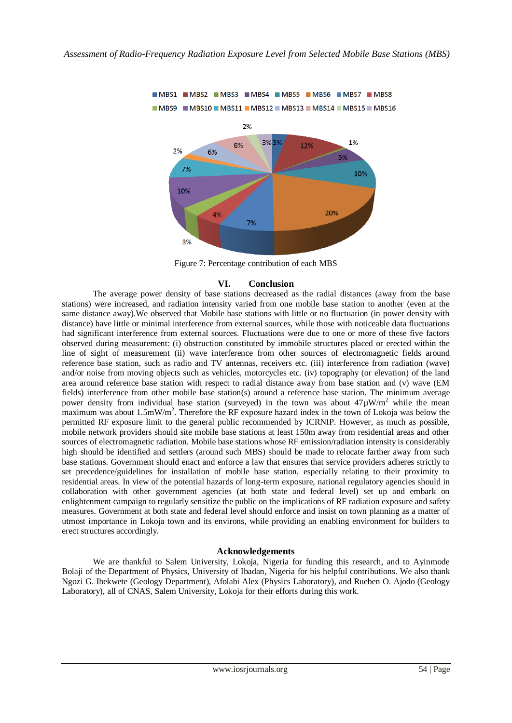

Figure 7: Percentage contribution of each MBS

#### **VI. Conclusion**

The average power density of base stations decreased as the radial distances (away from the base stations) were increased, and radiation intensity varied from one mobile base station to another (even at the same distance away).We observed that Mobile base stations with little or no fluctuation (in power density with distance) have little or minimal interference from external sources, while those with noticeable data fluctuations had significant interference from external sources. Fluctuations were due to one or more of these five factors observed during measurement: (i) obstruction constituted by immobile structures placed or erected within the line of sight of measurement (ii) wave interference from other sources of electromagnetic fields around reference base station, such as radio and TV antennas, receivers etc. (iii) interference from radiation (wave) and/or noise from moving objects such as vehicles, motorcycles etc. (iv) topography (or elevation) of the land area around reference base station with respect to radial distance away from base station and (v) wave (EM fields) interference from other mobile base station(s) around a reference base station. The minimum average power density from individual base station (surveyed) in the town was about  $47\mu$ W/m<sup>2</sup> while the mean maximum was about 1.5mW/m<sup>2</sup>. Therefore the RF exposure hazard index in the town of Lokoja was below the permitted RF exposure limit to the general public recommended by ICRNIP. However, as much as possible, mobile network providers should site mobile base stations at least 150m away from residential areas and other sources of electromagnetic radiation. Mobile base stations whose RF emission/radiation intensity is considerably high should be identified and settlers (around such MBS) should be made to relocate farther away from such base stations. Government should enact and enforce a law that ensures that service providers adheres strictly to set precedence/guidelines for installation of mobile base station, especially relating to their proximity to residential areas. In view of the potential hazards of long-term exposure, national regulatory agencies should in collaboration with other government agencies (at both state and federal level) set up and embark on enlightenment campaign to regularly sensitize the public on the implications of RF radiation exposure and safety measures. Government at both state and federal level should enforce and insist on town planning as a matter of utmost importance in Lokoja town and its environs, while providing an enabling environment for builders to erect structures accordingly.

#### **Acknowledgements**

We are thankful to Salem University, Lokoja, Nigeria for funding this research, and to Ayinmode Bolaji of the Department of Physics, University of Ibadan, Nigeria for his helpful contributions. We also thank Ngozi G. Ibekwete (Geology Department), Afolabi Alex (Physics Laboratory), and Rueben O. Ajodo (Geology Laboratory), all of CNAS, Salem University, Lokoja for their efforts during this work.